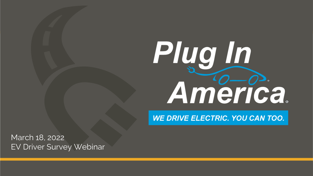# Plug In America.

WE DRIVE ELECTRIC. YOU CAN TOO.

March 18, 2022 EV Driver Survey Webinar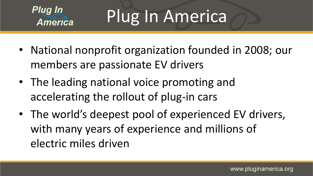

Plug In America

- National nonprofit organization founded in 2008; our members are passionate EV drivers
- The leading national voice promoting and accelerating the rollout of plug-in cars
- The world's deepest pool of experienced EV drivers, with many years of experience and millions of electric miles driven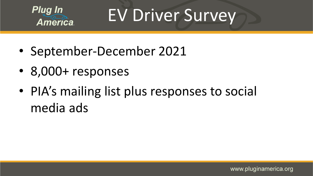

EV Driver Survey

- September-December 2021
- 8,000+ responses
- PIA's mailing list plus responses to social media ads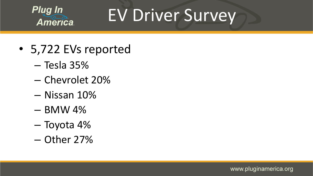

# EV Driver Survey

- 5,722 EVs reported
	- Tesla 35%
	- Chevrolet 20%
	- Nissan 10%
	- BMW 4%
	- Toyota 4%
	- Other 27%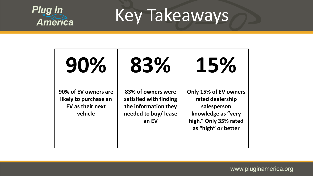

Key Takeaways

**90% 90% of EV owners are likely to purchase an EV as their next vehicle 83% 83% of owners were satisfied with finding the information they needed to buy/ lease an EV 15% Only 15% of EV owners rated dealership salesperson knowledge as "very high." Only 35% rated as "high" or better**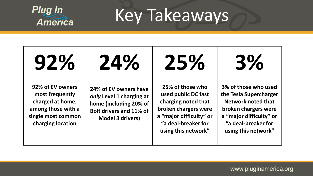

Key Takeaways

**92% 92% of EV owners most frequently charged at home, among those with a single most common charging location 24% 24% of EV owners have**  *only* **Level 1 charging at home (including 20% of Bolt drivers and 11% of Model 3 drivers) 25% 25% of those who used public DC fast charging noted that broken chargers were a "major difficulty" or "a deal-breaker for using this network" 3% 3% of those who used the Tesla Supercharger Network noted that broken chargers were a "major difficulty" or "a deal-breaker for using this network"**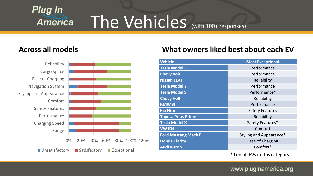

# The Vehicles (with 100+ responses)



#### **Across all models What owners liked best about each EV**

| <b>Vehicle</b>             | <b>Most Exceptional</b> |
|----------------------------|-------------------------|
| <b>Tesla Model 3</b>       | Performance             |
| <b>Chevy Bolt</b>          | Performance             |
| <b>Nissan LEAF</b>         | Reliability             |
| <b>Tesla Model Y</b>       | Performance             |
| <b>Tesla Model S</b>       | Performance*            |
| <b>Chevy Volt</b>          | Reliability             |
| <b>BMWi3</b>               | Performance             |
| <b>Kia Niro</b>            | <b>Safety Features</b>  |
| <b>Toyota Prius Prime</b>  | Reliability             |
| <b>Tesla Model X</b>       | Safety Features*        |
| <b>VW ID4</b>              | Comfort                 |
| <b>Ford Mustang Mach E</b> | Styling and Appearance* |
| <b>Honda Clarity</b>       | Ease of Charging        |
| <b>Audi e-tron</b>         | Comfort*                |

\* Led all EVs in this category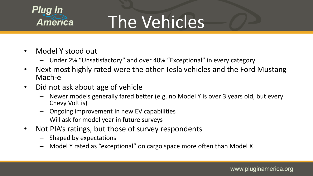

# The Vehicles

- Model Y stood out
	- Under 2% "Unsatisfactory" and over 40% "Exceptional" in every category
- Next most highly rated were the other Tesla vehicles and the Ford Mustang Mach-e
- Did not ask about age of vehicle
	- Newer models generally fared better (e.g. no Model Y is over 3 years old, but every Chevy Volt is)
	- Ongoing improvement in new EV capabilities
	- Will ask for model year in future surveys
- Not PIA's ratings, but those of survey respondents
	- Shaped by expectations
	- Model Y rated as "exceptional" on cargo space more often than Model X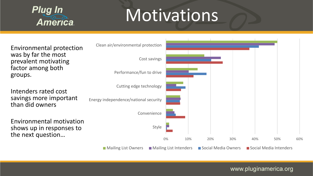

## **Motivations**

Environmental protection was by far the most prevalent motivating factor among both groups.

Intenders rated cost savings more important than did owners

Environmental motivation shows up in responses to

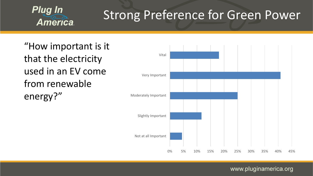

### **Strong Preference for Green Power**

"How important is it that the electricity used in an EV come from renewable energy?"

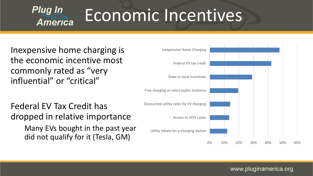

# Economic Incentives

Inexpensive home charging is the economic incentive most commonly rated as "very influential" or "critical"

Federal EV Tax Credit has dropped in relative importance

> Many EVs bought in the past year did not qualify for it (Tesla, GM)

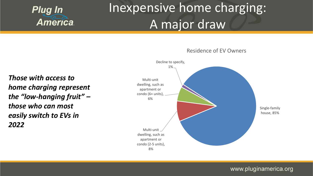

### Inexpensive home charging: A major draw

*Those with access to home charging represent the "low-hanging fruit" – those who can most easily switch to EVs in 2022*



Residence of EV Owners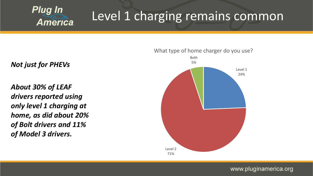

### Level 1 charging remains common

*Not just for PHEVs*

*About 30% of LEAF drivers reported using only level 1 charging at home, as did about 20% of Bolt drivers and 11% of Model 3 drivers.*

### Level 1 24% Level 2 71% Both 5%

What type of home charger do you use?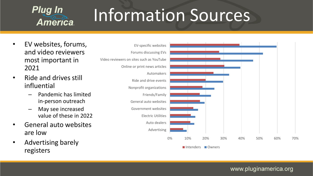

# Information Sources

- EV websites, forums, and video reviewers most important in 2021
- Ride and drives still influential
	- Pandemic has limited in-person outreach
	- May see increased value of these in 2022
- General auto websites are low
- Advertising barely registers

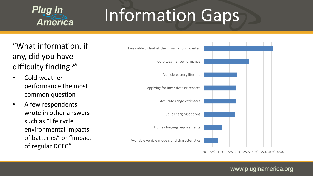

# Information Gaps

"What information, if any, did you have difficulty finding?"

- Cold-weather performance the most common question
- A few respondents wrote in other answers such as "life cycle environmental impacts of batteries" or "impact of regular DCFC"



0% 5% 10% 15% 20% 25% 30% 35% 40% 45%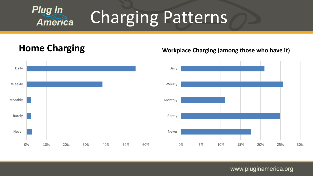

# Charging Patterns



#### **Home Charging Workplace Charging (among those who have it)**

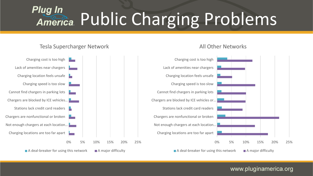#### **Plug In** Public Charging Problems **America**

#### Tesla Supercharger Network

#### 0% 5% 10% 15% 20% 25% Charging locations are too far apart Not enough chargers at each location... Chargers are nonfunctional or broken Stations lack credit card readers  $\Box$ Chargers are blocked by ICE vehicles… Cannot find chargers in parking lots Charging speed is too slow Charging location feels unsafe Lack of amenities near chargers Charging cost is too high  $\blacksquare$  A deal-breaker for using this network  $\blacksquare$  A major difficulty 0% 5% 10% 15% 20% 25% Charging locations are too far apart Not enough chargers at each location… Chargers are nonfunctional or broken Stations lack credit card readers Chargers are blocked by ICE vehicles or… Cannot find chargers in parking lots Charging speed is too slow Charging location feels unsafe Lack of amenities near chargers Charging cost is too high  $\blacksquare$  A deal-breaker for using this network  $\blacksquare$  A major difficulty

#### All Other Networks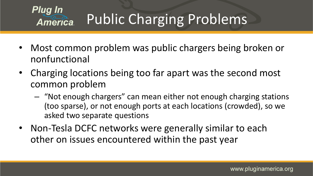

### Public Charging Problems

- Most common problem was public chargers being broken or nonfunctional
- Charging locations being too far apart was the second most common problem
	- "Not enough chargers" can mean either not enough charging stations (too sparse), or not enough ports at each locations (crowded), so we asked two separate questions
- Non-Tesla DCFC networks were generally similar to each other on issues encountered within the past year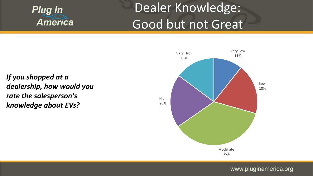

### Dealer Knowledge: Good but not Great

*If you shopped at a dealership, how would you rate the salesperson's knowledge about EVs?*

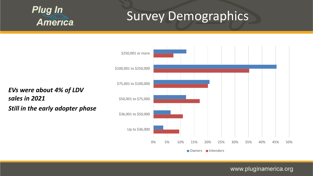

### Survey Demographics

*EVs were about 4% of LDV sales in 2021 Still in the early adopter phase*

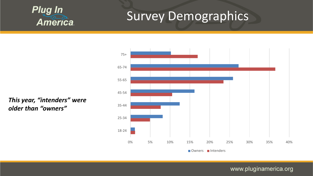

### **Survey Demographics**

*This year, "intenders" were older than "owners"*